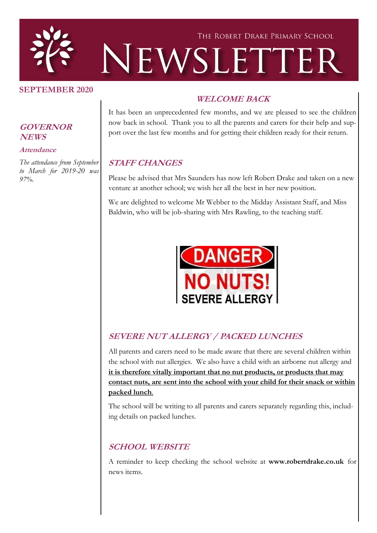

#### **SEPTEMBER 2020**

#### **GOVERNOR NEWS**

#### **Attendance**

*The attendance from September to March for 2019-20 was 97%.*

### **WELCOME BACK**

It has been an unprecedented few months, and we are pleased to see the children now back in school. Thank you to all the parents and carers for their help and support over the last few months and for getting their children ready for their return.

### **STAFF CHANGES**

Please be advised that Mrs Saunders has now left Robert Drake and taken on a new venture at another school; we wish her all the best in her new position.

We are delighted to welcome Mr Webber to the Midday Assistant Staff, and Miss Baldwin, who will be job-sharing with Mrs Rawling, to the teaching staff.



### **SEVERE NUT ALLERGY / PACKED LUNCHES**

All parents and carers need to be made aware that there are several children within the school with nut allergies. We also have a child with an airborne nut allergy and **it is therefore vitally important that no nut products, or products that may contact nuts, are sent into the school with your child for their snack or within packed lunch**.

The school will be writing to all parents and carers separately regarding this, including details on packed lunches.

### **SCHOOL WEBSITE**

A reminder to keep checking the school website at **www.robertdrake.co.uk** for news items.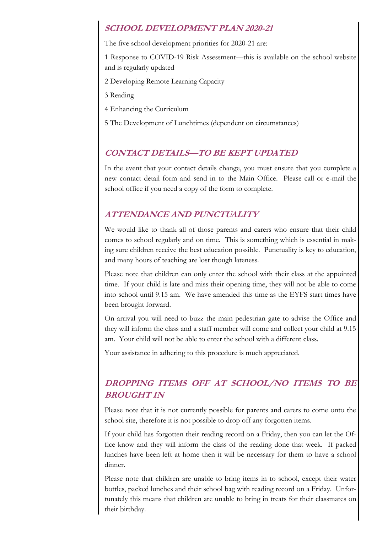### **SCHOOL DEVELOPMENT PLAN 2020-21**

The five school development priorities for 2020-21 are:

1 Response to COVID-19 Risk Assessment—this is available on the school website and is regularly updated

2 Developing Remote Learning Capacity

3 Reading

4 Enhancing the Curriculum

5 The Development of Lunchtimes (dependent on circumstances)

### **CONTACT DETAILS—TO BE KEPT UPDATED**

In the event that your contact details change, you must ensure that you complete a new contact detail form and send in to the Main Office. Please call or e-mail the school office if you need a copy of the form to complete.

### **ATTENDANCE AND PUNCTUALITY**

We would like to thank all of those parents and carers who ensure that their child comes to school regularly and on time. This is something which is essential in making sure children receive the best education possible. Punctuality is key to education, and many hours of teaching are lost though lateness.

Please note that children can only enter the school with their class at the appointed time. If your child is late and miss their opening time, they will not be able to come into school until 9.15 am. We have amended this time as the EYFS start times have been brought forward.

On arrival you will need to buzz the main pedestrian gate to advise the Office and they will inform the class and a staff member will come and collect your child at 9.15 am. Your child will not be able to enter the school with a different class.

Your assistance in adhering to this procedure is much appreciated.

# **DROPPING ITEMS OFF AT SCHOOL/NO ITEMS TO BE BROUGHT IN**

Please note that it is not currently possible for parents and carers to come onto the school site, therefore it is not possible to drop off any forgotten items.

If your child has forgotten their reading record on a Friday, then you can let the Office know and they will inform the class of the reading done that week. If packed lunches have been left at home then it will be necessary for them to have a school dinner.

Please note that children are unable to bring items in to school, except their water bottles, packed lunches and their school bag with reading record on a Friday. Unfortunately this means that children are unable to bring in treats for their classmates on their birthday.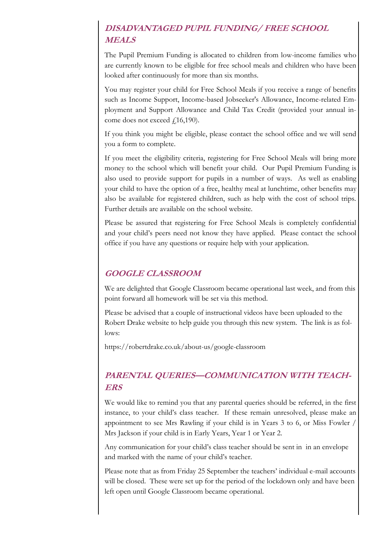# **DISADVANTAGED PUPIL FUNDING/ FREE SCHOOL MEALS**

The Pupil Premium Funding is allocated to children from low-income families who are currently known to be eligible for free school meals and children who have been looked after continuously for more than six months.

You may register your child for Free School Meals if you receive a range of benefits such as Income Support, Income-based Jobseeker's Allowance, Income-related Employment and Support Allowance and Child Tax Credit (provided your annual income does not exceed  $f(16,190)$ .

If you think you might be eligible, please contact the school office and we will send you a form to complete.

If you meet the eligibility criteria, registering for Free School Meals will bring more money to the school which will benefit your child. Our Pupil Premium Funding is also used to provide support for pupils in a number of ways. As well as enabling your child to have the option of a free, healthy meal at lunchtime, other benefits may also be available for registered children, such as help with the cost of school trips. Further details are available on the school website.

Please be assured that registering for Free School Meals is completely confidential and your child's peers need not know they have applied. Please contact the school office if you have any questions or require help with your application.

### **GOOGLE CLASSROOM**

We are delighted that Google Classroom became operational last week, and from this point forward all homework will be set via this method.

Please be advised that a couple of instructional videos have been uploaded to the Robert Drake website to help guide you through this new system. The link is as follows:

https://robertdrake.co.uk/about-us/google-classroom

### **PARENTAL QUERIES—COMMUNICATION WITH TEACH-ERS**

We would like to remind you that any parental queries should be referred, in the first instance, to your child's class teacher. If these remain unresolved, please make an appointment to see Mrs Rawling if your child is in Years 3 to 6, or Miss Fowler / Mrs Jackson if your child is in Early Years, Year 1 or Year 2.

Any communication for your child's class teacher should be sent in in an envelope and marked with the name of your child's teacher.

Please note that as from Friday 25 September the teachers' individual e-mail accounts will be closed. These were set up for the period of the lockdown only and have been left open until Google Classroom became operational.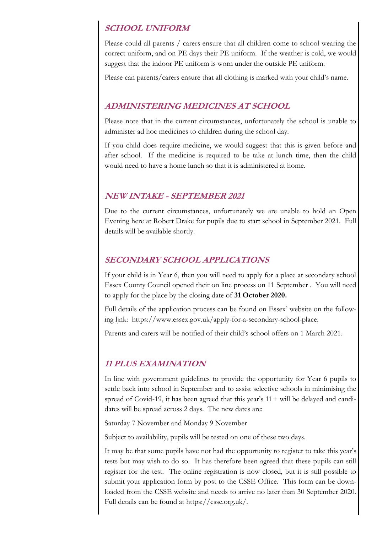### **SCHOOL UNIFORM**

Please could all parents / carers ensure that all children come to school wearing the correct uniform, and on PE days their PE uniform. If the weather is cold, we would suggest that the indoor PE uniform is worn under the outside PE uniform.

Please can parents/carers ensure that all clothing is marked with your child's name.

#### **ADMINISTERING MEDICINES AT SCHOOL**

Please note that in the current circumstances, unfortunately the school is unable to administer ad hoc medicines to children during the school day.

If you child does require medicine, we would suggest that this is given before and after school. If the medicine is required to be take at lunch time, then the child would need to have a home lunch so that it is administered at home.

### **NEW INTAKE - SEPTEMBER 2021**

Due to the current circumstances, unfortunately we are unable to hold an Open Evening here at Robert Drake for pupils due to start school in September 2021. Full details will be available shortly.

### **SECONDARY SCHOOL APPLICATIONS**

If your child is in Year 6, then you will need to apply for a place at secondary school Essex County Council opened their on line process on 11 September . You will need to apply for the place by the closing date of **31 October 2020.**

Full details of the application process can be found on Essex' website on the following ljnk: https://www.essex.gov.uk/apply-for-a-secondary-school-place.

Parents and carers will be notified of their child's school offers on 1 March 2021.

### **11 PLUS EXAMINATION**

In line with government guidelines to provide the opportunity for Year 6 pupils to settle back into school in September and to assist selective schools in minimising the spread of Covid-19, it has been agreed that this year's  $11+$  will be delayed and candidates will be spread across 2 days. The new dates are:

Saturday 7 November and Monday 9 November

Subject to availability, pupils will be tested on one of these two days.

It may be that some pupils have not had the opportunity to register to take this year's tests but may wish to do so. It has therefore been agreed that these pupils can still register for the test. The online registration is now closed, but it is still possible to submit your application form by post to the CSSE Office. This form can be downloaded from the CSSE website and needs to arrive no later than 30 September 2020. Full details can be found at https://csse.org.uk/.